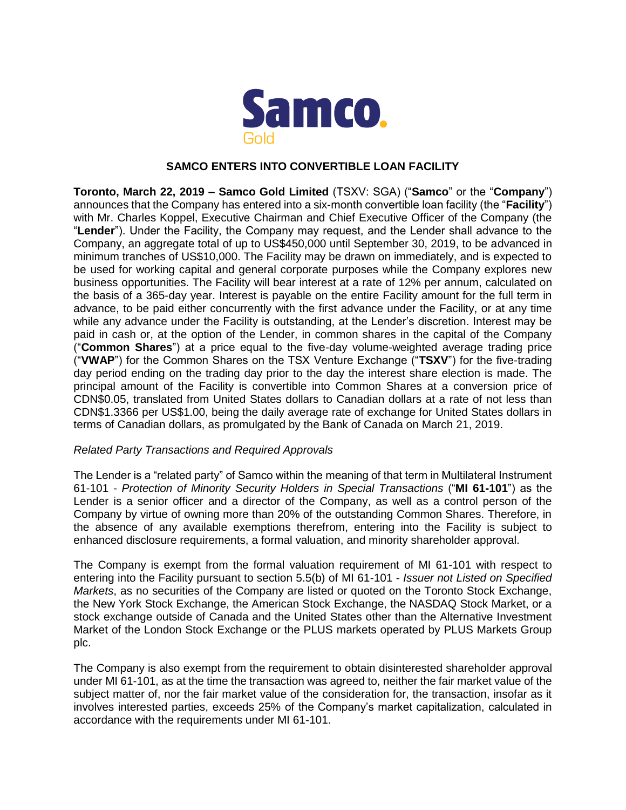

## **SAMCO ENTERS INTO CONVERTIBLE LOAN FACILITY**

**Toronto, March 22, 2019 – Samco Gold Limited** (TSXV: SGA) ("**Samco**" or the "**Company**") announces that the Company has entered into a six-month convertible loan facility (the "**Facility**") with Mr. Charles Koppel, Executive Chairman and Chief Executive Officer of the Company (the "**Lender**"). Under the Facility, the Company may request, and the Lender shall advance to the Company, an aggregate total of up to US\$450,000 until September 30, 2019, to be advanced in minimum tranches of US\$10,000. The Facility may be drawn on immediately, and is expected to be used for working capital and general corporate purposes while the Company explores new business opportunities. The Facility will bear interest at a rate of 12% per annum, calculated on the basis of a 365-day year. Interest is payable on the entire Facility amount for the full term in advance, to be paid either concurrently with the first advance under the Facility, or at any time while any advance under the Facility is outstanding, at the Lender's discretion. Interest may be paid in cash or, at the option of the Lender, in common shares in the capital of the Company ("**Common Shares**") at a price equal to the five-day volume-weighted average trading price ("**VWAP**") for the Common Shares on the TSX Venture Exchange ("**TSXV**") for the five-trading day period ending on the trading day prior to the day the interest share election is made. The principal amount of the Facility is convertible into Common Shares at a conversion price of CDN\$0.05, translated from United States dollars to Canadian dollars at a rate of not less than CDN\$1.3366 per US\$1.00, being the daily average rate of exchange for United States dollars in terms of Canadian dollars, as promulgated by the Bank of Canada on March 21, 2019.

# *Related Party Transactions and Required Approvals*

The Lender is a "related party" of Samco within the meaning of that term in Multilateral Instrument 61-101 - *Protection of Minority Security Holders in Special Transactions* ("**MI 61-101**") as the Lender is a senior officer and a director of the Company, as well as a control person of the Company by virtue of owning more than 20% of the outstanding Common Shares. Therefore, in the absence of any available exemptions therefrom, entering into the Facility is subject to enhanced disclosure requirements, a formal valuation, and minority shareholder approval.

The Company is exempt from the formal valuation requirement of MI 61-101 with respect to entering into the Facility pursuant to section 5.5(b) of MI 61-101 - *Issuer not Listed on Specified Markets*, as no securities of the Company are listed or quoted on the Toronto Stock Exchange, the New York Stock Exchange, the American Stock Exchange, the NASDAQ Stock Market, or a stock exchange outside of Canada and the United States other than the Alternative Investment Market of the London Stock Exchange or the PLUS markets operated by PLUS Markets Group plc.

The Company is also exempt from the requirement to obtain disinterested shareholder approval under MI 61-101, as at the time the transaction was agreed to, neither the fair market value of the subject matter of, nor the fair market value of the consideration for, the transaction, insofar as it involves interested parties, exceeds 25% of the Company's market capitalization, calculated in accordance with the requirements under MI 61-101.